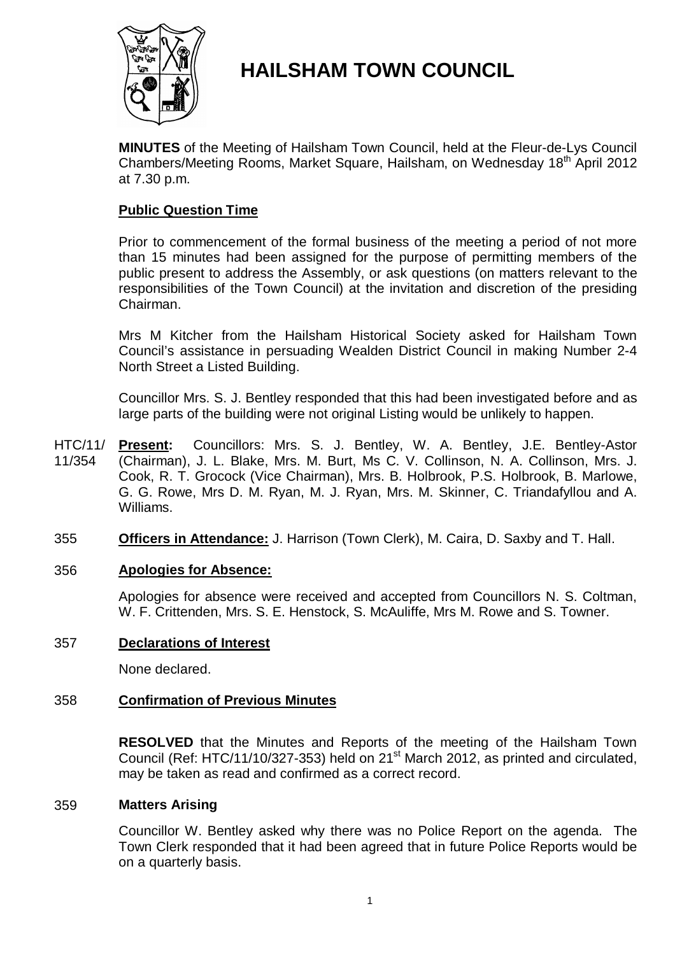

# **HAILSHAM TOWN COUNCIL**

**MINUTES** of the Meeting of Hailsham Town Council, held at the Fleur-de-Lys Council Chambers/Meeting Rooms, Market Square, Hailsham, on Wednesday 18<sup>th</sup> April 2012 at 7.30 p.m.

### **Public Question Time**

Prior to commencement of the formal business of the meeting a period of not more than 15 minutes had been assigned for the purpose of permitting members of the public present to address the Assembly, or ask questions (on matters relevant to the responsibilities of the Town Council) at the invitation and discretion of the presiding Chairman.

Mrs M Kitcher from the Hailsham Historical Society asked for Hailsham Town Council's assistance in persuading Wealden District Council in making Number 2-4 North Street a Listed Building.

Councillor Mrs. S. J. Bentley responded that this had been investigated before and as large parts of the building were not original Listing would be unlikely to happen.

- HTC/11/ 11/354 Present: Councillors: Mrs. S. J. Bentley, W. A. Bentley, J.E. Bentley-Astor (Chairman), J. L. Blake, Mrs. M. Burt, Ms C. V. Collinson, N. A. Collinson, Mrs. J. Cook, R. T. Grocock (Vice Chairman), Mrs. B. Holbrook, P.S. Holbrook, B. Marlowe, G. G. Rowe, Mrs D. M. Ryan, M. J. Ryan, Mrs. M. Skinner, C. Triandafyllou and A. Williams.
- 355 **Officers in Attendance:** J. Harrison (Town Clerk), M. Caira, D. Saxby and T. Hall.

### 356 **Apologies for Absence:**

Apologies for absence were received and accepted from Councillors N. S. Coltman, W. F. Crittenden, Mrs. S. E. Henstock, S. McAuliffe, Mrs M. Rowe and S. Towner.

### 357 **Declarations of Interest**

None declared.

### 358 **Confirmation of Previous Minutes**

**RESOLVED** that the Minutes and Reports of the meeting of the Hailsham Town Council (Ref: HTC/11/10/327-353) held on 21<sup>st</sup> March 2012, as printed and circulated, may be taken as read and confirmed as a correct record.

### 359 **Matters Arising**

Councillor W. Bentley asked why there was no Police Report on the agenda. The Town Clerk responded that it had been agreed that in future Police Reports would be on a quarterly basis.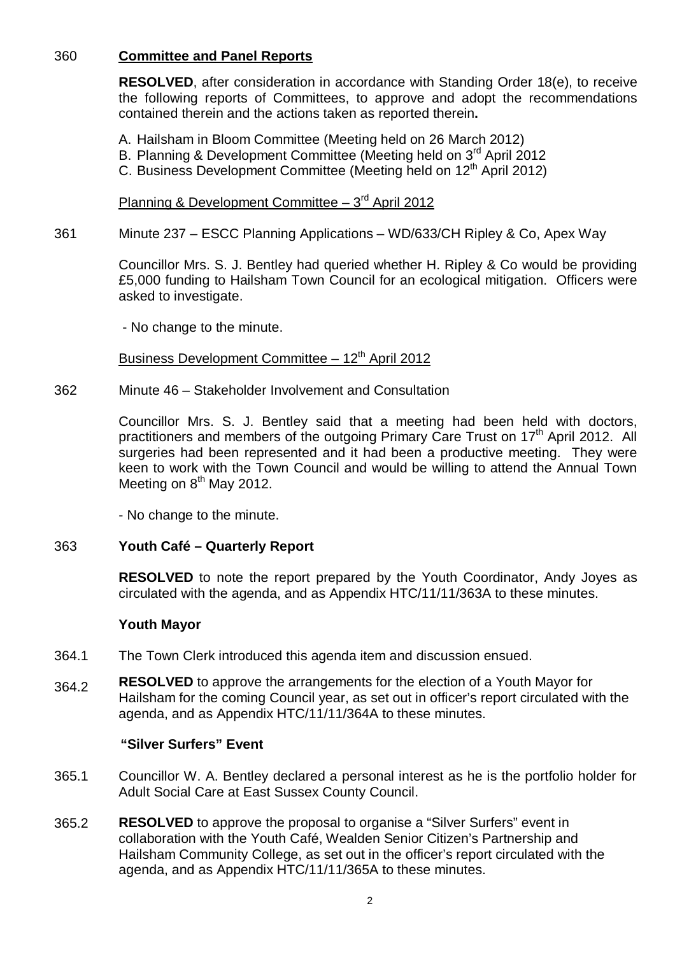## 360 **Committee and Panel Reports**

**RESOLVED**, after consideration in accordance with Standing Order 18(e), to receive the following reports of Committees, to approve and adopt the recommendations contained therein and the actions taken as reported therein**.**

A. Hailsham in Bloom Committee (Meeting held on 26 March 2012)

- B. Planning & Development Committee (Meeting held on 3<sup>rd</sup> April 2012
- C. Business Development Committee (Meeting held on 12<sup>th</sup> April 2012)

Planning & Development Committee  $-3<sup>rd</sup>$  April 2012

361 Minute 237 – ESCC Planning Applications – WD/633/CH Ripley & Co, Apex Way

> Councillor Mrs. S. J. Bentley had queried whether H. Ripley & Co would be providing £5,000 funding to Hailsham Town Council for an ecological mitigation. Officers were asked to investigate.

- No change to the minute.

Business Development Committee  $-12<sup>th</sup>$  April 2012

362 Minute 46 – Stakeholder Involvement and Consultation

> Councillor Mrs. S. J. Bentley said that a meeting had been held with doctors, practitioners and members of the outgoing Primary Care Trust on 17<sup>th</sup> April 2012. All surgeries had been represented and it had been a productive meeting. They were keen to work with the Town Council and would be willing to attend the Annual Town Meeting on 8<sup>th</sup> May 2012.

- No change to the minute.

### 363 **Youth Café – Quarterly Report**

**RESOLVED** to note the report prepared by the Youth Coordinator, Andy Joyes as circulated with the agenda, and as Appendix HTC/11/11/363A to these minutes.

### **Youth Mayor**

- 364.1 The Town Clerk introduced this agenda item and discussion ensued.
- 364.2 **RESOLVED** to approve the arrangements for the election of a Youth Mayor for Hailsham for the coming Council year, as set out in officer's report circulated with the agenda, and as Appendix HTC/11/11/364A to these minutes.

### **"Silver Surfers" Event**

- 365.1 Councillor W. A. Bentley declared a personal interest as he is the portfolio holder for Adult Social Care at East Sussex County Council.
- 365.2 **RESOLVED** to approve the proposal to organise a "Silver Surfers" event in collaboration with the Youth Café, Wealden Senior Citizen's Partnership and Hailsham Community College, as set out in the officer's report circulated with the agenda, and as Appendix HTC/11/11/365A to these minutes.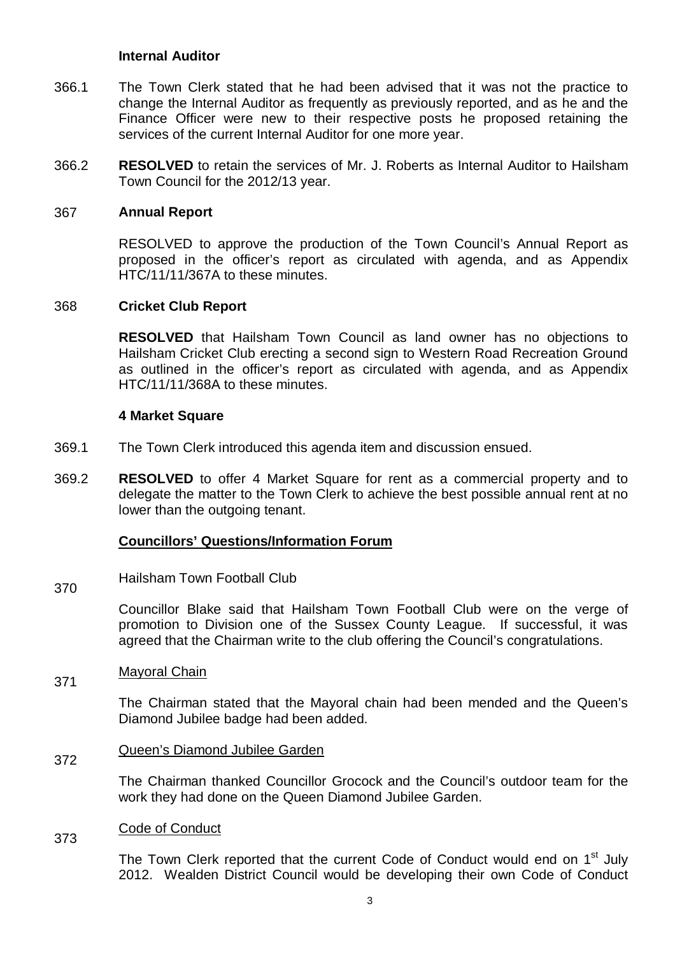### **Internal Auditor**

- 366.1 The Town Clerk stated that he had been advised that it was not the practice to change the Internal Auditor as frequently as previously reported, and as he and the Finance Officer were new to their respective posts he proposed retaining the services of the current Internal Auditor for one more year.
- 366.2 **RESOLVED** to retain the services of Mr. J. Roberts as Internal Auditor to Hailsham Town Council for the 2012/13 year.

#### 367 **Annual Report**

RESOLVED to approve the production of the Town Council's Annual Report as proposed in the officer's report as circulated with agenda, and as Appendix HTC/11/11/367A to these minutes.

#### 368 **Cricket Club Report**

**RESOLVED** that Hailsham Town Council as land owner has no objections to Hailsham Cricket Club erecting a second sign to Western Road Recreation Ground as outlined in the officer's report as circulated with agenda, and as Appendix HTC/11/11/368A to these minutes.

#### **4 Market Square**

- 369.1 The Town Clerk introduced this agenda item and discussion ensued.
- 369.2 **RESOLVED** to offer 4 Market Square for rent as a commercial property and to delegate the matter to the Town Clerk to achieve the best possible annual rent at no lower than the outgoing tenant.

### **Councillors' Questions/Information Forum**

370 Hailsham Town Football Club

> Councillor Blake said that Hailsham Town Football Club were on the verge of promotion to Division one of the Sussex County League. If successful, it was agreed that the Chairman write to the club offering the Council's congratulations.

#### 371 Mayoral Chain

The Chairman stated that the Mayoral chain had been mended and the Queen's Diamond Jubilee badge had been added.

#### 372 Queen's Diamond Jubilee Garden

The Chairman thanked Councillor Grocock and the Council's outdoor team for the work they had done on the Queen Diamond Jubilee Garden.

#### 373 Code of Conduct

The Town Clerk reported that the current Code of Conduct would end on 1<sup>st</sup> July 2012. Wealden District Council would be developing their own Code of Conduct